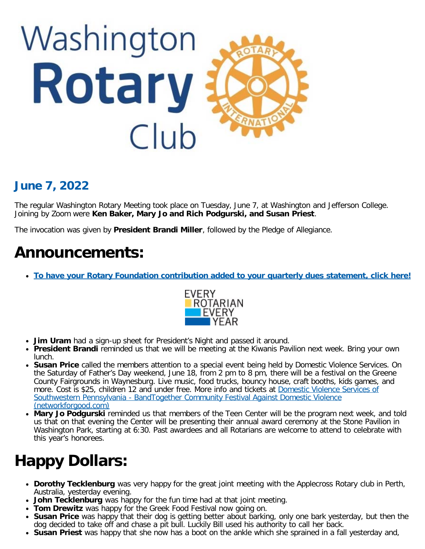

### **June 7, 2022**

The regular Washington Rotary Meeting took place on Tuesday, June 7, at Washington and Jefferson College. Joining by Zoom were **Ken Baker, Mary Jo and Rich Podgurski, and Susan Priest**.

The invocation was given by **President Brandi Miller**, followed by the Pledge of Allegiance.

## **Announcements:**

**[To have your Rotary Foundation contribution added to your quarterly dues statement, click here!](https://docs.google.com/forms/d/e/1FAIpQLSd-CW5Ujd23jbM9rZkjDPeq11OSOUKLnUBZoOb8ov67bNsPrA/viewform?usp=sf_link)**



- **Jim Uram** had a sign-up sheet for President's Night and passed it around.
- **President Brandi** reminded us that we will be meeting at the Kiwanis Pavilion next week. Bring your own lunch.
- **Susan Price** called the members attention to a special event being held by Domestic Violence Services. On the Saturday of Father's Day weekend, June 18, from 2 pm to 8 pm, there will be a festival on the Greene County Fairgrounds in Waynesburg. Live music, food trucks, bouncy house, craft booths, kids games, and more. Cost is \$25, children 12 and under free. More info and tickets at [Domestic Violence Services of](https://peacefromdv.networkforgood.com/events/41456-bandtogether-community-festival-against-domestic-violence) [Southwestern Pennsylvania - BandTogether Community Festival Against Domestic Violence](https://peacefromdv.networkforgood.com/events/41456-bandtogether-community-festival-against-domestic-violence) [\(networkforgood.com\)](https://peacefromdv.networkforgood.com/events/41456-bandtogether-community-festival-against-domestic-violence)
- **Mary Jo Podgurski** reminded us that members of the Teen Center will be the program next week, and told us that on that evening the Center will be presenting their annual award ceremony at the Stone Pavilion in Washington Park, starting at 6:30. Past awardees and all Rotarians are welcome to attend to celebrate with this year's honorees.

# **Happy Dollars:**

- **Dorothy Tecklenburg** was very happy for the great joint meeting with the Applecross Rotary club in Perth, Australia, yesterday evening.
- **John Tecklenburg** was happy for the fun time had at that joint meeting.
- **Tom Drewitz** was happy for the Greek Food Festival now going on.
- **Susan Price** was happy that their dog is getting better about barking, only one bark yesterday, but then the dog decided to take off and chase a pit bull. Luckily Bill used his authority to call her back.
- **Susan Priest** was happy that she now has a boot on the ankle which she sprained in a fall yesterday and,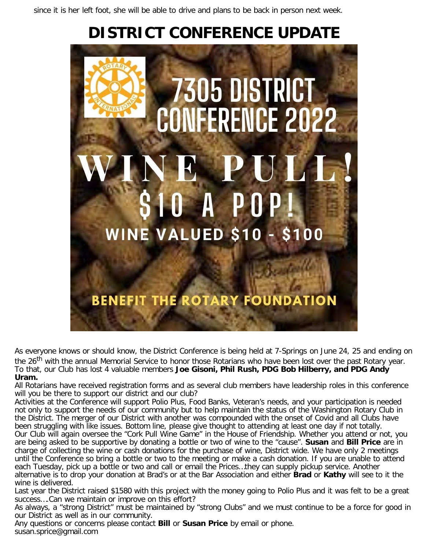since it is her left foot, she will be able to drive and plans to be back in person next week.

# **DISTRICT CONFERENCE UPDATE**



As everyone knows or should know, the District Conference is being held at 7-Springs on June 24, 25 and ending on the 26<sup>th</sup> with the annual Memorial Service to honor those Rotarians who have been lost over the past Rotary year. To that, our Club has lost 4 valuable members **Joe Gisoni, Phil Rush, PDG Bob Hilberry, and PDG Andy Uram.**

All Rotarians have received registration forms and as several club members have leadership roles in this conference will you be there to support our district and our club?

Activities at the Conference will support Polio Plus, Food Banks, Veteran's needs, and your participation is needed not only to support the needs of our community but to help maintain the status of the Washington Rotary Club in the District. The merger of our District with another was compounded with the onset of Covid and all Clubs have been struggling with like issues. Bottom line, please give thought to attending at least one day if not totally. Our Club will again oversee the "Cork Pull Wine Game" in the House of Friendship. Whether you attend or not, you are being asked to be supportive by donating a bottle or two of wine to the "cause". **Susan** and **Bill Price** are in charge of collecting the wine or cash donations for the purchase of wine, District wide. We have only 2 meetings until the Conference so bring a bottle or two to the meeting or make a cash donation. If you are unable to attend each Tuesday, pick up a bottle or two and call or email the Prices…they can supply pickup service. Another alternative is to drop your donation at Brad's or at the Bar Association and either **Brad** or **Kathy** will see to it the wine is delivered.

Last year the District raised \$1580 with this project with the money going to Polio Plus and it was felt to be a great success….Can we maintain or improve on this effort?

As always, a "strong District" must be maintained by "strong Clubs" and we must continue to be a force for good in our District as well as in our community.

Any questions or concerns please contact **Bill** or **Susan Price** by email or phone. susan.sprice@gmail.com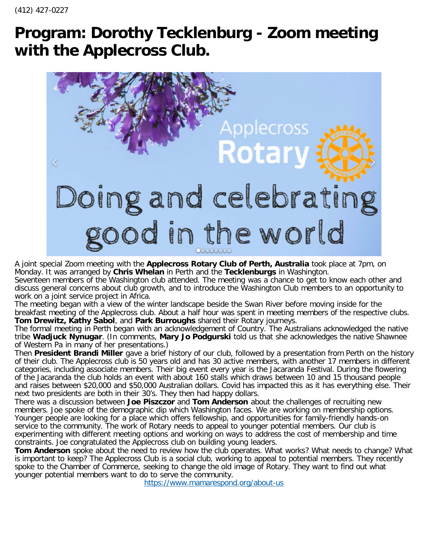## **Program: Dorothy Tecklenburg - Zoom meeting with the Applecross Club.**



A joint special Zoom meeting with the **Applecross Rotary Club of Perth, Australia** took place at 7pm, on Monday. It was arranged by **Chris Whelan** in Perth and the **Tecklenburgs** in Washington.

Seventeen members of the Washington club attended. The meeting was a chance to get to know each other and discuss general concerns about club growth, and to introduce the Washington Club members to an opportunity to work on a joint service project in Africa.

The meeting began with a view of the winter landscape beside the Swan River before moving inside for the breakfast meeting of the Applecross club. About a half hour was spent in meeting members of the respective clubs. **Tom Drewitz, Kathy Sabol**, and **Park Burroughs** shared their Rotary journeys.

The formal meeting in Perth began with an acknowledgement of Country. The Australians acknowledged the native tribe **Wadjuck Nynugar**. (In comments, **Mary Jo Podgurski** told us that she acknowledges the native Shawnee of Western Pa in many of her presentations.)

Then **President Brandi Miller** gave a brief history of our club, followed by a presentation from Perth on the history of their club. The Applecross club is 50 years old and has 30 active members, with another 17 members in different categories, including associate members. Their big event every year is the Jacaranda Festival. During the flowering of the Jacaranda the club holds an event with about 160 stalls which draws between 10 and 15 thousand people and raises between \$20,000 and \$50,000 Australian dollars. Covid has impacted this as it has everything else. Their next two presidents are both in their 30's. They then had happy dollars.

There was a discussion between **Joe Piszczor** and **Tom Anderson** about the challenges of recruiting new members. Joe spoke of the demographic dip which Washington faces. We are working on membership options. Younger people are looking for a place which offers fellowship, and opportunities for family-friendly hands-on service to the community. The work of Rotary needs to appeal to younger potential members. Our club is experimenting with different meeting options and working on ways to address the cost of membership and time constraints. Joe congratulated the Applecross club on building young leaders.

**Tom Anderson** spoke about the need to review how the club operates. What works? What needs to change? What is important to keep? The Applecross Club is a social club, working to appeal to potential members. They recently spoke to the Chamber of Commerce, seeking to change the old image of Rotary. They want to find out what younger potential members want to do to serve the community.

<https://www.mamarespond.org/about-us>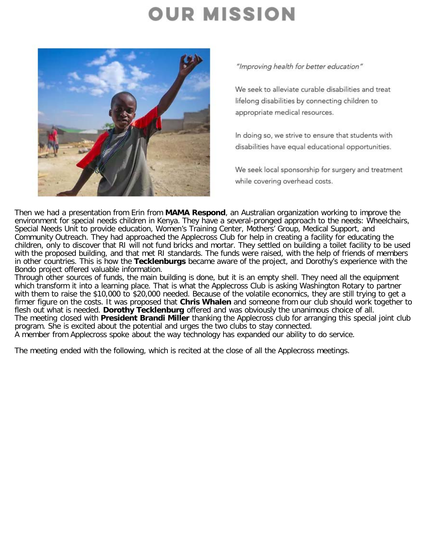# **OUR MISSION**



"Improving health for better education"

We seek to alleviate curable disabilities and treat lifelong disabilities by connecting children to appropriate medical resources.

In doing so, we strive to ensure that students with disabilities have equal educational opportunities.

We seek local sponsorship for surgery and treatment while covering overhead costs.

Then we had a presentation from Erin from **MAMA Respond**, an Australian organization working to improve the environment for special needs children in Kenya. They have a several-pronged approach to the needs: Wheelchairs, Special Needs Unit to provide education, Women's Training Center, Mothers' Group, Medical Support, and Community Outreach. They had approached the Applecross Club for help in creating a facility for educating the children, only to discover that RI will not fund bricks and mortar. They settled on building a toilet facility to be used with the proposed building, and that met RI standards. The funds were raised, with the help of friends of members in other countries. This is how the **Tecklenburgs** became aware of the project, and Dorothy's experience with the Bondo project offered valuable information.

Through other sources of funds, the main building is done, but it is an empty shell. They need all the equipment which transform it into a learning place. That is what the Applecross Club is asking Washington Rotary to partner with them to raise the \$10,000 to \$20,000 needed. Because of the volatile economics, they are still trying to get a firmer figure on the costs. It was proposed that **Chris Whalen** and someone from our club should work together to flesh out what is needed. **Dorothy Tecklenburg** offered and was obviously the unanimous choice of all. The meeting closed with **President Brandi Miller** thanking the Applecross club for arranging this special joint club program. She is excited about the potential and urges the two clubs to stay connected. A member from Applecross spoke about the way technology has expanded our ability to do service.

The meeting ended with the following, which is recited at the close of all the Applecross meetings.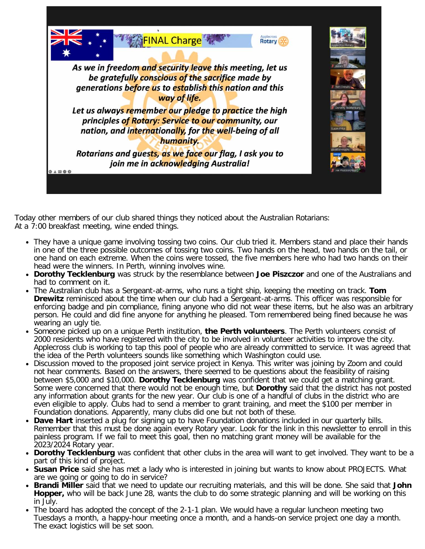

Today other members of our club shared things they noticed about the Australian Rotarians: At a 7:00 breakfast meeting, wine ended things.

- They have a unique game involving tossing two coins. Our club tried it. Members stand and place their hands in one of the three possible outcomes of tossing two coins. Two hands on the head, two hands on the tail, or one hand on each extreme. When the coins were tossed, the five members here who had two hands on their head were the winners. In Perth, winning involves wine.
- **Dorothy Tecklenburg** was struck by the resemblance between **Joe Piszczor** and one of the Australians and had to comment on it.
- The Australian club has a Sergeant-at-arms, who runs a tight ship, keeping the meeting on track. **Tom Drewitz** reminisced about the time when our club had a Sergeant-at-arms. This officer was responsible for enforcing badge and pin compliance, fining anyone who did not wear these items, but he also was an arbitrary person. He could and did fine anyone for anything he pleased. Tom remembered being fined because he was wearing an ugly tie.
- Someone picked up on a unique Perth institution, **the Perth volunteers**. The Perth volunteers consist of 2000 residents who have registered with the city to be involved in volunteer activities to improve the city. Applecross club is working to tap this pool of people who are already committed to service. It was agreed that the idea of the Perth volunteers sounds like something which Washington could use.
- Discussion moved to the proposed joint service project in Kenya. This writer was joining by Zoom and could not hear comments. Based on the answers, there seemed to be questions about the feasibility of raising between \$5,000 and \$10,000. **Dorothy Tecklenburg** was confident that we could get a matching grant. Some were concerned that there would not be enough time, but **Dorothy** said that the district has not posted any information about grants for the new year. Our club is one of a handful of clubs in the district who are even eligible to apply. Clubs had to send a member to grant training, and meet the \$100 per member in Foundation donations. Apparently, many clubs did one but not both of these.
- **Dave Hart** inserted a plug for signing up to have Foundation donations included in our quarterly bills. Remember that this must be done again every Rotary year. Look for the link in this newsletter to enroll in this painless program. If we fail to meet this goal, then no matching grant money will be available for the 2023/2024 Rotary year.
- **Dorothy Tecklenburg** was confident that other clubs in the area will want to get involved. They want to be a part of this kind of project.
- **Susan Price** said she has met a lady who is interested in joining but wants to know about PROJECTS. What are we going or going to do in service?
- **Brandi Miller** said that we need to update our recruiting materials, and this will be done. She said that **John Hopper,** who will be back June 28, wants the club to do some strategic planning and will be working on this in July.
- The board has adopted the concept of the 2-1-1 plan. We would have a regular luncheon meeting two Tuesdays a month, a happy-hour meeting once a month, and a hands-on service project one day a month. The exact logistics will be set soon.